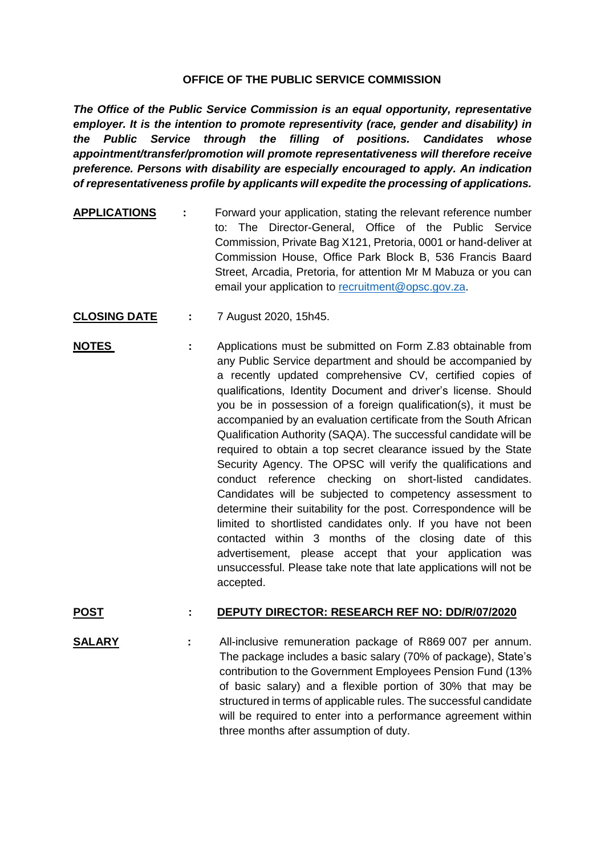## **OFFICE OF THE PUBLIC SERVICE COMMISSION**

*The Office of the Public Service Commission is an equal opportunity, representative employer. It is the intention to promote representivity (race, gender and disability) in the Public Service through the filling of positions. Candidates whose appointment/transfer/promotion will promote representativeness will therefore receive preference. Persons with disability are especially encouraged to apply. An indication of representativeness profile by applicants will expedite the processing of applications.*

- **APPLICATIONS :** Forward your application, stating the relevant reference number to: The Director-General, Office of the Public Service Commission, Private Bag X121, Pretoria, 0001 or hand-deliver at Commission House, Office Park Block B, 536 Francis Baard Street, Arcadia, Pretoria, for attention Mr M Mabuza or you can email your application to [recruitment@opsc.gov.za.](mailto:recruitment@opsc.gov.za)
- **CLOSING DATE :** 7 August 2020, 15h45.
- **NOTES :** Applications must be submitted on Form Z.83 obtainable from any Public Service department and should be accompanied by a recently updated comprehensive CV, certified copies of qualifications, Identity Document and driver's license. Should you be in possession of a foreign qualification(s), it must be accompanied by an evaluation certificate from the South African Qualification Authority (SAQA). The successful candidate will be required to obtain a top secret clearance issued by the State Security Agency. The OPSC will verify the qualifications and conduct reference checking on short-listed candidates. Candidates will be subjected to competency assessment to determine their suitability for the post. Correspondence will be limited to shortlisted candidates only. If you have not been contacted within 3 months of the closing date of this advertisement, please accept that your application was unsuccessful. Please take note that late applications will not be accepted.

## **POST : DEPUTY DIRECTOR: RESEARCH REF NO: DD/R/07/2020**

**SALARY :** All-inclusive remuneration package of R869 007 per annum. The package includes a basic salary (70% of package), State's contribution to the Government Employees Pension Fund (13% of basic salary) and a flexible portion of 30% that may be structured in terms of applicable rules. The successful candidate will be required to enter into a performance agreement within three months after assumption of duty.